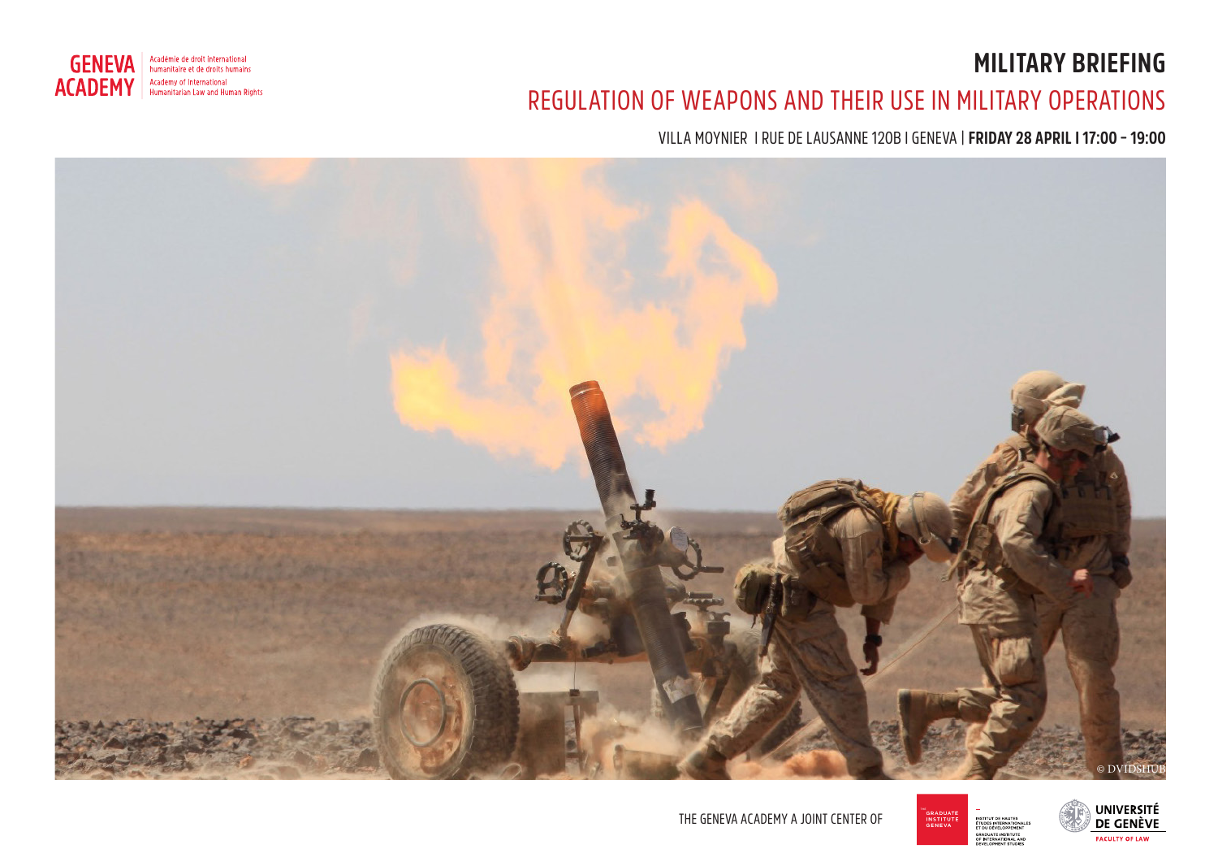# **MILITARY BRIEFING**



## REGULATION OF WEAPONS AND THEIR USE IN MILITARY OPERATIONS

VILLA MOYNIER I RUE DE LAUSANNE 120B I GENEVA | **FRIDAY 28 APRIL I 17:00 – 19:00**







THE GENEVA ACADEMY A JOINT CENTER OF